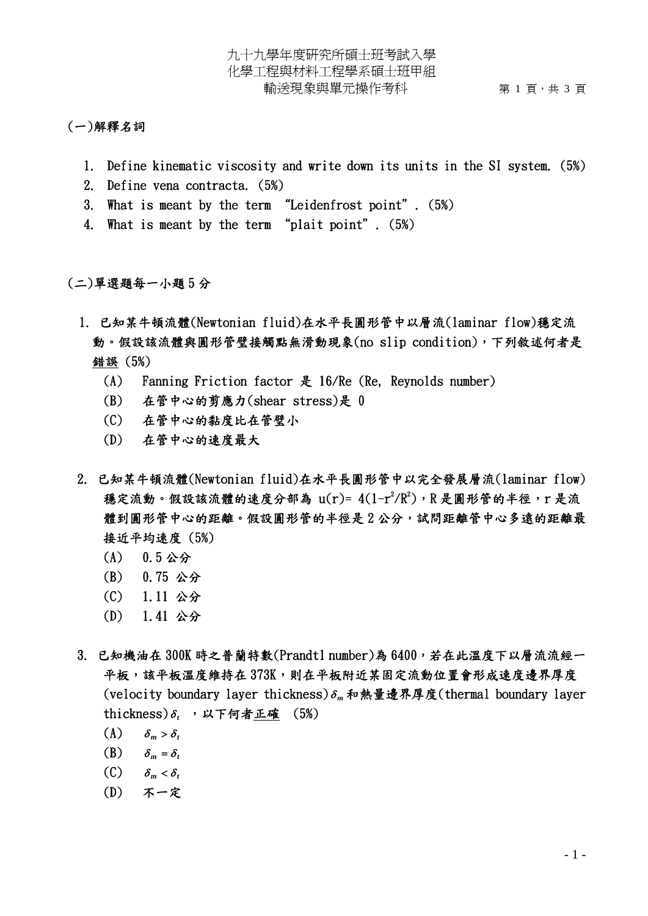## (一)解釋名詞

- 1. Define kinematic viscosity and write down its units in the SI system. (5%)
- 2. Define vena contracta. (5%)
- 3. What is meant by the term "Leidenfrost point". (5%)
- 4. What is meant by the term "plait point". (5%)

(二)單選題每一小題 5 分

- 1. 已知某牛頓流體(Newtonian fluid)在水平長圓形管中以層流(laminar flow)穩定流 動。假設該流體與圓形管璧接觸點無滑動現象(no slip condition),下列敘述何者是 錯誤 (5%)
	- (A) Fanning Friction factor 是 16/Re (Re, Reynolds number)
	- (B) 在管中心的剪應力(shear stress)是 0
	- (C) 在管中心的黏度比在管璧小
	- (D) 在管中心的速度最大
- 2. 已知某牛頓流體(Newtonian fluid)在水平長圓形管中以完全發展層流(laminar flow) 穩定流動。假設該流體的速度分部為  $u(r)$ =  $4(1-r^2/R^2)$ ,  $R$ 是圓形管的半徑,  $r$ 是流 體到圓形管中心的距離。假設圓形管的半徑是2公分,試問距離管中心多遠的距離最 接近平均速度 (5%)
	- (A) 0.5 公分
	- (B) 0.75 公分
	- (C) 1.11 公分
	- (D) 1.41 公分
- 3. 已知機油在 300K 時之普蘭特數(Prandt1 number)為 6400,若在此溫度下以層流流經一 平板,該平板溫度維持在 373K,則在平板附近某固定流動位置會形成速度邊界厚度 (velocity boundary layer thickness)<sup>δ</sup> *<sup>m</sup>* 和熱量邊界厚度(thermal boundary layer thickness) $\delta$ , ,以下何者正確 (5%)
	- $(A)$   $\delta_m > \delta_t$
	- (B)  $\delta_m = \delta_t$
	- (C)  $\delta_m < \delta_t$
	- (D) 不一定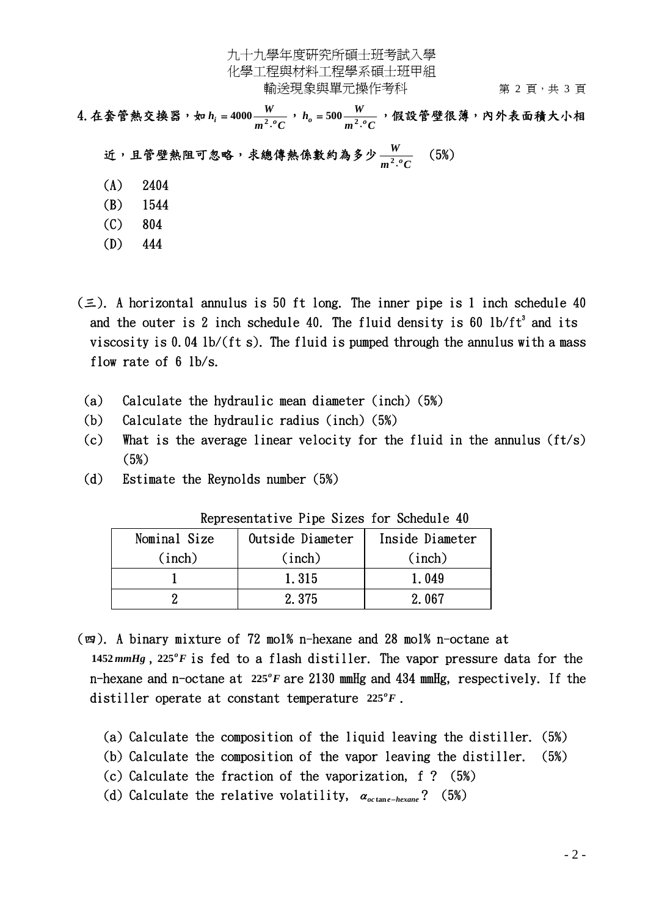九十九學年度研究所碩士班考試入學 化學工程與材料工程學系碩士班甲組 輸送現象與單元操作考科 第 2 頁, 共 3 頁

4.在套管熱交換器,如 *h*  $h$  = 4000  $\frac{W}{m^2 \cdot ^oC}$ , *h* = 500  $\frac{W}{m^2 \cdot ^oC}$ , 假設管壁很薄,內外表面積大小相 近,且管壁熱阻可忽略,求總傳熱係數約為多少  $m^2$ <sup>o</sup> $C$ *W*  $\frac{W}{2 \cdot ^0C}$  (5%)  $(A)$  2404

- (B) 1544
- (C) 804
- 
- (D) 444
- $(\equiv)$ . A horizontal annulus is 50 ft long. The inner pipe is 1 inch schedule 40 and the outer is 2 inch schedule 40. The fluid density is 60  $1b/ft^3$  and its viscosity is 0.04 lb/(ft s). The fluid is pumped through the annulus with a mass flow rate of 6 lb/s.
	- (a) Calculate the hydraulic mean diameter (inch) (5%)
	- (b) Calculate the hydraulic radius (inch) (5%)
	- (c) What is the average linear velocity for the fluid in the annulus (ft/s) (5%)
	- (d) Estimate the Reynolds number (5%)

| Representative lipe sizes for schedule 40 |                  |                 |  |  |  |  |
|-------------------------------------------|------------------|-----------------|--|--|--|--|
| Nominal Size                              | Outside Diameter | Inside Diameter |  |  |  |  |
| (inch)                                    | (inch)           | (inch)          |  |  |  |  |
|                                           | 1.315            | 1.049           |  |  |  |  |
|                                           | 2.375            | 2.067           |  |  |  |  |

Representative Pipe Sizes for Schedule 40

(四). A binary mixture of 72 mol% n-hexane and 28 mol% n-octane at 1452  $mmHg$ ,  $225^\circ F$  is fed to a flash distiller. The vapor pressure data for the n-hexane and n-octane at 225°F are 2130 mmHg and 434 mmHg, respectively. If the distiller operate at constant temperature  $225^\circ F$ .

- (a) Calculate the composition of the liquid leaving the distiller. (5%)
- (b) Calculate the composition of the vapor leaving the distiller. (5%)
- (c) Calculate the fraction of the vaporization, f ? (5%)
- (d) Calculate the relative volatility,  $\alpha_{octane-hexane}$ ? (5%)